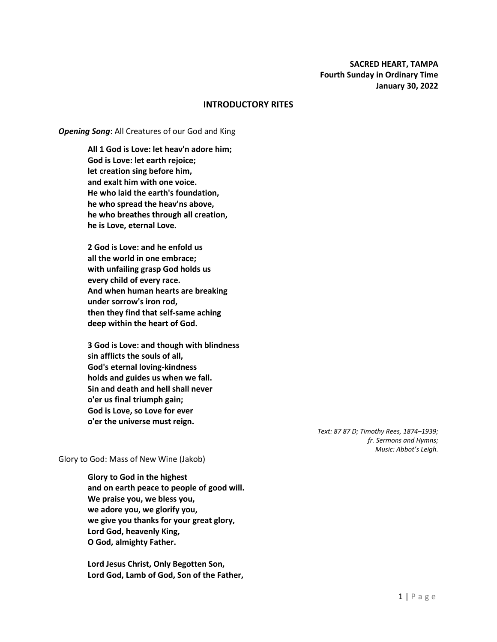#### **INTRODUCTORY RITES**

#### *Opening Song*: All Creatures of our God and King

**All 1 God is Love: let heav'n adore him; God is Love: let earth rejoice; let creation sing before him, and exalt him with one voice. He who laid the earth's foundation, he who spread the heav'ns above, he who breathes through all creation, he is Love, eternal Love.**

**2 God is Love: and he enfold us all the world in one embrace; with unfailing grasp God holds us every child of every race. And when human hearts are breaking under sorrow's iron rod, then they find that self-same aching deep within the heart of God.**

**3 God is Love: and though with blindness sin afflicts the souls of all, God's eternal loving-kindness holds and guides us when we fall. Sin and death and hell shall never o'er us final triumph gain; God is Love, so Love for ever o'er the universe must reign.**

> *Text: 87 87 D; Timothy Rees, 1874–1939; fr. Sermons and Hymns; Music: Abbot's Leigh.*

Glory to God: Mass of New Wine (Jakob)

**Glory to God in the highest and on earth peace to people of good will. We praise you, we bless you, we adore you, we glorify you, we give you thanks for your great glory, Lord God, heavenly King, O God, almighty Father.**

**Lord Jesus Christ, Only Begotten Son, Lord God, Lamb of God, Son of the Father,**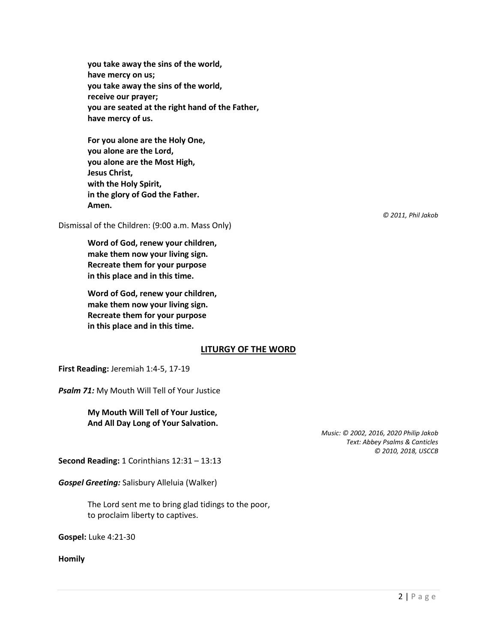**you take away the sins of the world, have mercy on us; you take away the sins of the world, receive our prayer; you are seated at the right hand of the Father, have mercy of us.**

**For you alone are the Holy One, you alone are the Lord, you alone are the Most High, Jesus Christ, with the Holy Spirit, in the glory of God the Father. Amen.**

Dismissal of the Children: (9:00 a.m. Mass Only)

**Word of God, renew your children, make them now your living sign. Recreate them for your purpose in this place and in this time.**

**Word of God, renew your children, make them now your living sign. Recreate them for your purpose in this place and in this time.**

# **LITURGY OF THE WORD**

**First Reading:** Jeremiah 1:4-5, 17-19

*Psalm 71:* My Mouth Will Tell of Your Justice

**My Mouth Will Tell of Your Justice, And All Day Long of Your Salvation.**

*Music: © 2002, 2016, 2020 Philip Jakob Text: Abbey Psalms & Canticles © 2010, 2018, USCCB*

**Second Reading:** 1 Corinthians 12:31 – 13:13

*Gospel Greeting:* Salisbury Alleluia (Walker)

The Lord sent me to bring glad tidings to the poor, to proclaim liberty to captives.

**Gospel:** Luke 4:21-30

**Homily**

*© 2011, Phil Jakob*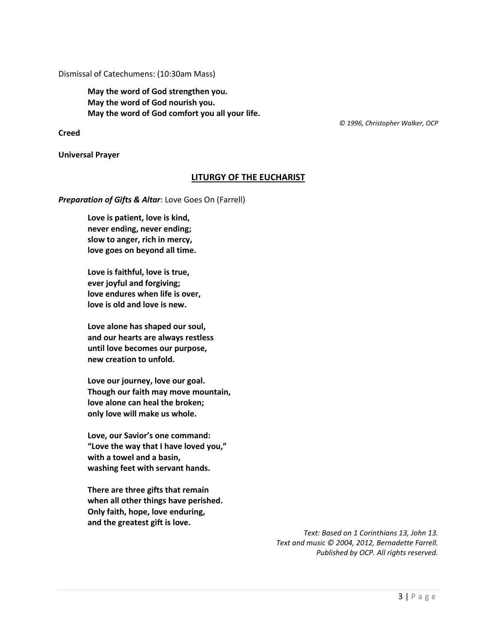Dismissal of Catechumens: (10:30am Mass)

**May the word of God strengthen you. May the word of God nourish you. May the word of God comfort you all your life.**

 *© 1996, Christopher Walker, OCP*

**Creed**

**Universal Prayer**

### **LITURGY OF THE EUCHARIST**

*Preparation of Gifts & Altar*: Love Goes On (Farrell)

**Love is patient, love is kind, never ending, never ending; slow to anger, rich in mercy, love goes on beyond all time.**

**Love is faithful, love is true, ever joyful and forgiving; love endures when life is over, love is old and love is new.**

**Love alone has shaped our soul, and our hearts are always restless until love becomes our purpose, new creation to unfold.**

**Love our journey, love our goal. Though our faith may move mountain, love alone can heal the broken; only love will make us whole.**

**Love, our Savior's one command: "Love the way that I have loved you," with a towel and a basin, washing feet with servant hands.**

**There are three gifts that remain when all other things have perished. Only faith, hope, love enduring, and the greatest gift is love.**

> *Text: Based on 1 Corinthians 13, John 13. Text and music © 2004, 2012, Bernadette Farrell. Published by OCP. All rights reserved.*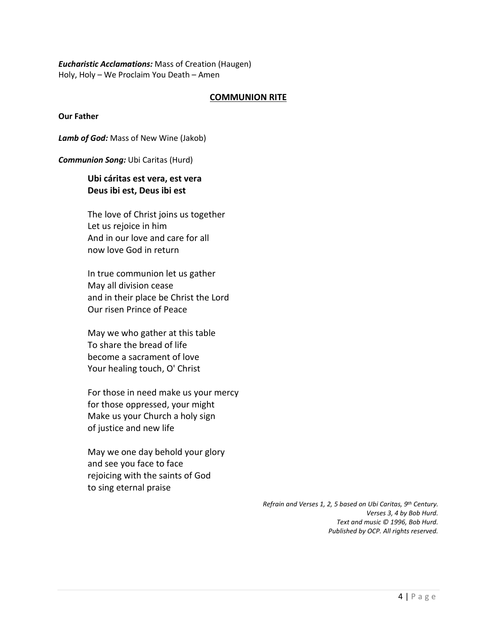*Eucharistic Acclamations:* Mass of Creation (Haugen) Holy, Holy – We Proclaim You Death – Amen

### **COMMUNION RITE**

**Our Father**

*Lamb of God:* Mass of New Wine (Jakob)

*Communion Song:* Ubi Caritas (Hurd)

# **Ubi cáritas est vera, est vera Deus ibi est, Deus ibi est**

The love of Christ joins us together Let us rejoice in him And in our love and care for all now love God in return

In true communion let us gather May all division cease and in their place be Christ the Lord Our risen Prince of Peace

May we who gather at this table To share the bread of life become a sacrament of love Your healing touch, O' Christ

For those in need make us your mercy for those oppressed, your might Make us your Church a holy sign of justice and new life

May we one day behold your glory and see you face to face rejoicing with the saints of God to sing eternal praise

> *Refrain and Verses 1, 2, 5 based on Ubi Caritas, 9th Century. Verses 3, 4 by Bob Hurd. Text and music © 1996, Bob Hurd. Published by OCP. All rights reserved.*